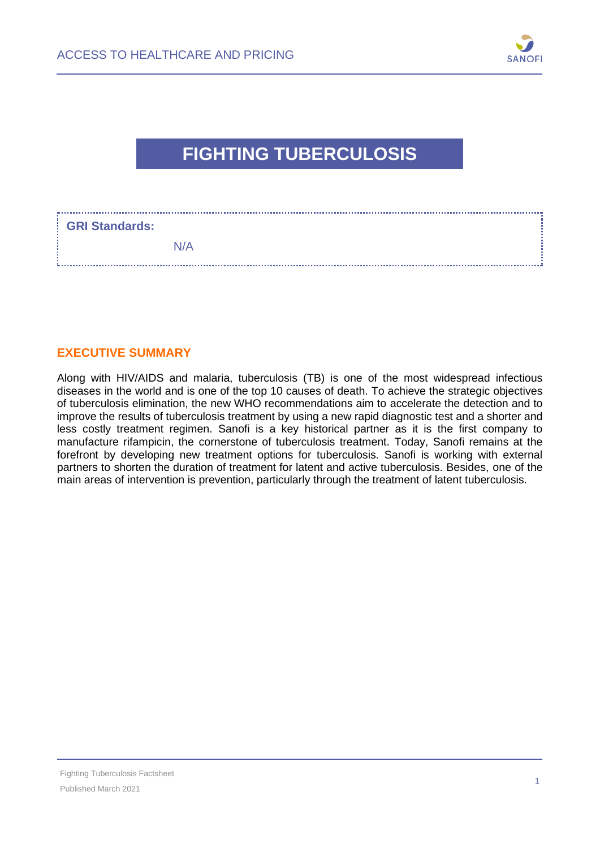

# **FIGHTING TUBERCULOSIS**

| <b>GRI Standards:</b> |     |
|-----------------------|-----|
|                       | N/A |

#### **EXECUTIVE SUMMARY**

Along with HIV/AIDS and malaria, tuberculosis (TB) is one of the most widespread infectious diseases in the world and is one of the top 10 causes of death. To achieve the strategic objectives of tuberculosis elimination, the new WHO recommendations aim to accelerate the detection and to improve the results of tuberculosis treatment by using a new rapid diagnostic test and a shorter and less costly treatment regimen. Sanofi is a key historical partner as it is the first company to manufacture rifampicin, the cornerstone of tuberculosis treatment. Today, Sanofi remains at the forefront by developing new treatment options for tuberculosis. Sanofi is working with external partners to shorten the duration of treatment for latent and active tuberculosis. Besides, one of the main areas of intervention is prevention, particularly through the treatment of latent tuberculosis.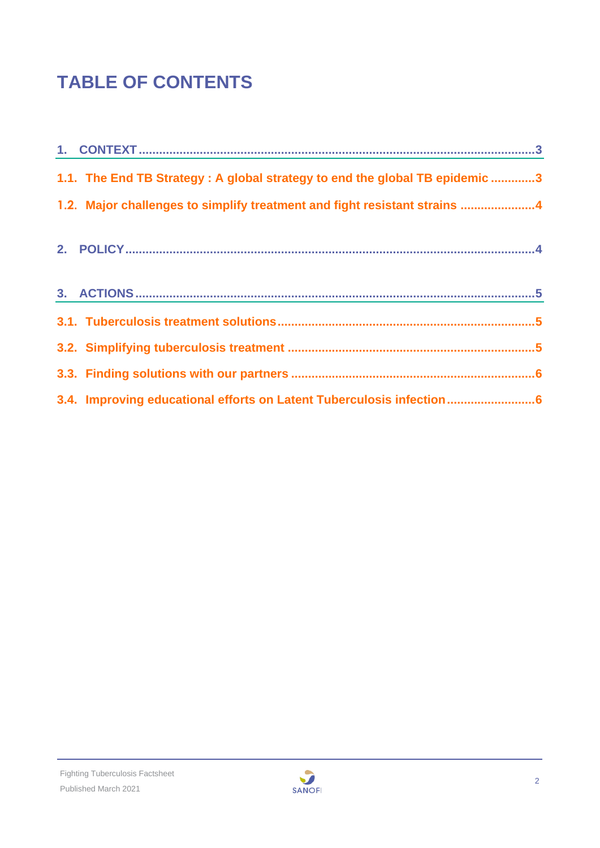# **TABLE OF CONTENTS**

| 1.1. The End TB Strategy: A global strategy to end the global TB epidemic 3 |  |
|-----------------------------------------------------------------------------|--|
| 1.2. Major challenges to simplify treatment and fight resistant strains 4   |  |
|                                                                             |  |
|                                                                             |  |
|                                                                             |  |
|                                                                             |  |
|                                                                             |  |
| 3.4. Improving educational efforts on Latent Tuberculosis infection6        |  |

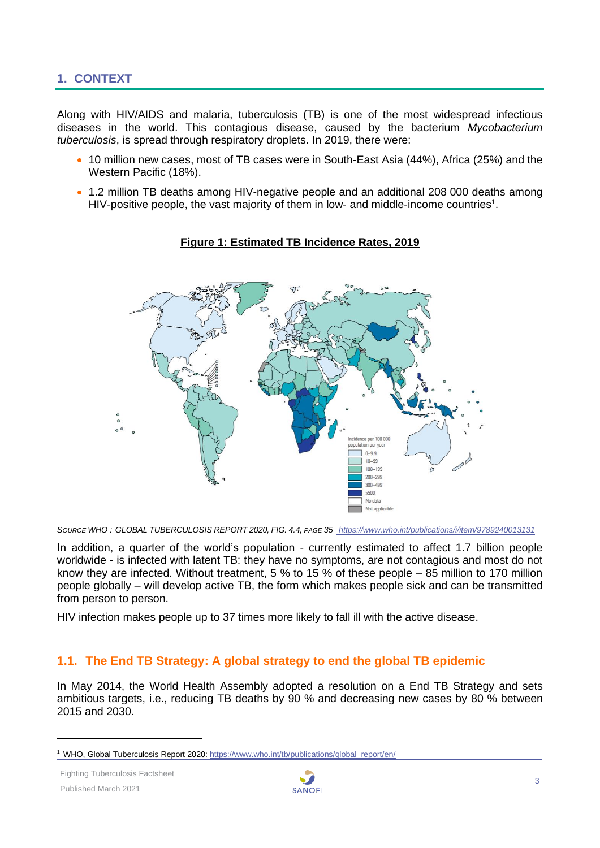# <span id="page-2-0"></span>**1. CONTEXT**

Along with HIV/AIDS and malaria, tuberculosis (TB) is one of the most widespread infectious diseases in the world. This contagious disease, caused by the bacterium *Mycobacterium tuberculosis*, is spread through respiratory droplets. In 2019, there were:

- 10 million new cases, most of TB cases were in South-East Asia (44%), Africa (25%) and the Western Pacific (18%).
- 1.2 million TB deaths among HIV-negative people and an additional 208 000 deaths among HIV-positive people, the vast majority of them in low- and middle-income countries<sup>1</sup>.



#### **Figure 1: Estimated TB Incidence Rates, 2019**

*SOURCE WHO : GLOBAL TUBERCULOSIS REPORT 2020, FIG. 4.4, PAGE 35 <https://www.who.int/publications/i/item/9789240013131>*

In addition, a quarter of the world's population - currently estimated to affect 1.7 billion people worldwide - is infected with latent TB: they have no symptoms, are not contagious and most do not know they are infected. Without treatment, 5 % to 15 % of these people – 85 million to 170 million people globally – will develop active TB, the form which makes people sick and can be transmitted from person to person.

<span id="page-2-1"></span>HIV infection makes people up to 37 times more likely to fall ill with the active disease.

# **1.1. The End TB Strategy: A global strategy to end the global TB epidemic**

In May 2014, the World Health Assembly adopted a resolution on a End TB Strategy and sets ambitious targets, i.e., reducing TB deaths by 90 % and decreasing new cases by 80 % between 2015 and 2030.



<sup>1</sup> WHO, Global Tuberculosis Report 2020[: https://www.who.int/tb/publications/global\\_report/en/](https://www.who.int/tb/publications/global_report/en/)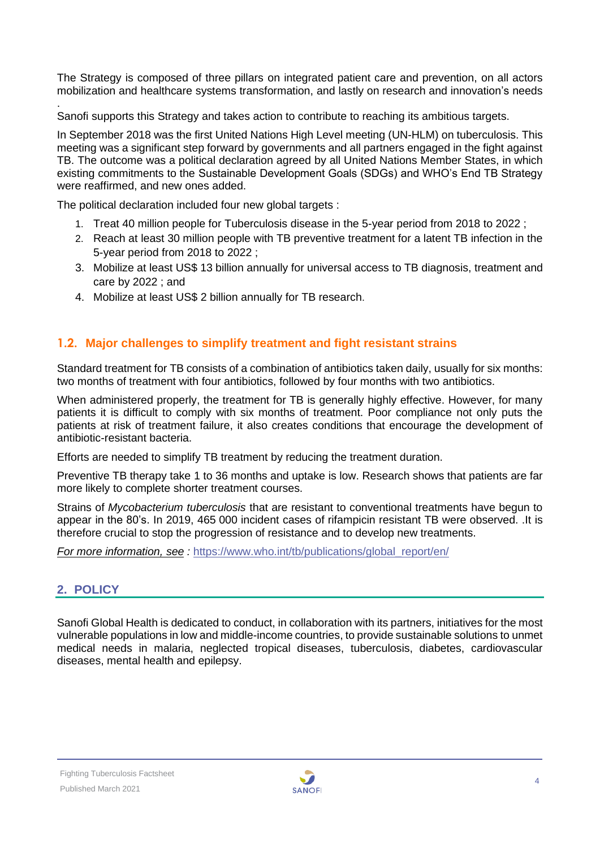The Strategy is composed of three pillars on integrated patient care and prevention, on all actors mobilization and healthcare systems transformation, and lastly on research and innovation's needs

. Sanofi supports this Strategy and takes action to contribute to reaching its ambitious targets.

In September 2018 was the first United Nations High Level meeting (UN-HLM) on tuberculosis. This meeting was a significant step forward by governments and all partners engaged in the fight against TB. The outcome was a political declaration agreed by all United Nations Member States, in which existing commitments to the Sustainable Development Goals (SDGs) and WHO's End TB Strategy were reaffirmed, and new ones added.

The political declaration included four new global targets :

- 1. Treat 40 million people for Tuberculosis disease in the 5-year period from 2018 to 2022 ;
- 2. Reach at least 30 million people with TB preventive treatment for a latent TB infection in the 5-year period from 2018 to 2022 ;
- 3. Mobilize at least US\$ 13 billion annually for universal access to TB diagnosis, treatment and care by 2022 ; and
- 4. Mobilize at least US\$ 2 billion annually for TB research.

# <span id="page-3-0"></span>**1.2. Major challenges to simplify treatment and fight resistant strains**

Standard treatment for TB consists of a combination of antibiotics taken daily, usually for six months: two months of treatment with four antibiotics, followed by four months with two antibiotics.

When administered properly, the treatment for TB is generally highly effective. However, for many patients it is difficult to comply with six months of treatment. Poor compliance not only puts the patients at risk of treatment failure, it also creates conditions that encourage the development of antibiotic-resistant bacteria.

Efforts are needed to simplify TB treatment by reducing the treatment duration.

Preventive TB therapy take 1 to 36 months and uptake is low. Research shows that patients are far more likely to complete shorter treatment courses.

Strains of *Mycobacterium tuberculosis* that are resistant to conventional treatments have begun to appear in the 80's. In 2019, 465 000 incident cases of rifampicin resistant TB were observed. .It is therefore crucial to stop the progression of resistance and to develop new treatments.

*For more information, see : https://www.who.int/tb/publications/global report/en/* 

# <span id="page-3-1"></span>**2. POLICY**

Sanofi Global Health is dedicated to conduct, in collaboration with its partners, initiatives for the most vulnerable populations in low and middle-income countries, to provide sustainable solutions to unmet medical needs in malaria, neglected tropical diseases, tuberculosis, diabetes, cardiovascular diseases, mental health and epilepsy.

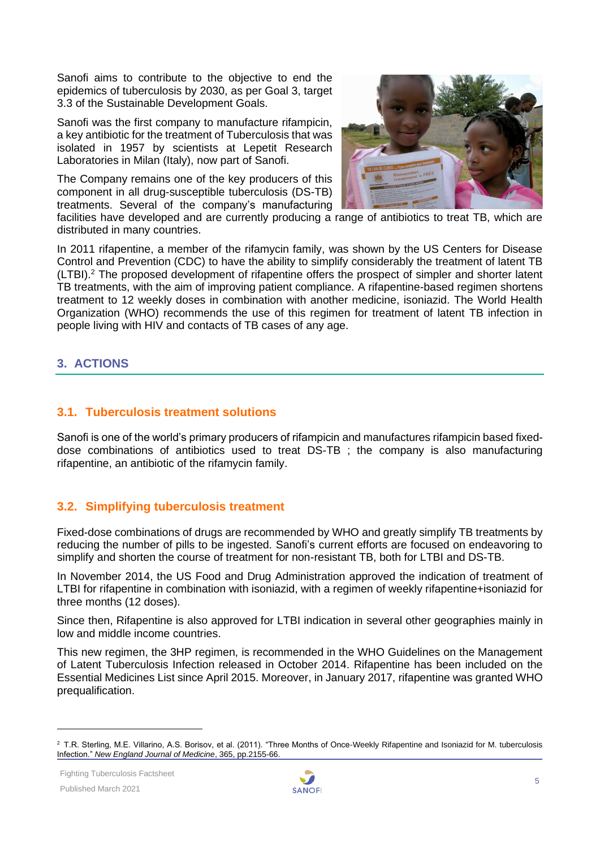Sanofi aims to contribute to the objective to end the epidemics of tuberculosis by 2030, as per Goal 3, target 3.3 of the Sustainable Development Goals.

Sanofi was the first company to manufacture rifampicin, a key antibiotic for the treatment of Tuberculosis that was isolated in 1957 by scientists at Lepetit Research Laboratories in Milan (Italy), now part of Sanofi.

The Company remains one of the key producers of this component in all drug-susceptible tuberculosis (DS-TB) treatments. Several of the company's manufacturing



facilities have developed and are currently producing a range of antibiotics to treat TB, which are distributed in many countries.

In 2011 rifapentine, a member of the rifamycin family, was shown by the US Centers for Disease Control and Prevention (CDC) to have the ability to simplify considerably the treatment of latent TB (LTBI).<sup>2</sup> The proposed development of rifapentine offers the prospect of simpler and shorter latent TB treatments, with the aim of improving patient compliance. A rifapentine-based regimen shortens treatment to 12 weekly doses in combination with another medicine, isoniazid. The World Health Organization (WHO) recommends the use of this regimen for treatment of latent TB infection in people living with HIV and contacts of TB cases of any age.

# <span id="page-4-0"></span>**3. ACTIONS**

# <span id="page-4-1"></span>**3.1. Tuberculosis treatment solutions**

Sanofi is one of the world's primary producers of rifampicin and manufactures rifampicin based fixeddose combinations of antibiotics used to treat DS-TB ; the company is also manufacturing rifapentine, an antibiotic of the rifamycin family.

# <span id="page-4-2"></span>**3.2. Simplifying tuberculosis treatment**

Fixed-dose combinations of drugs are recommended by WHO and greatly simplify TB treatments by reducing the number of pills to be ingested. Sanofi's current efforts are focused on endeavoring to simplify and shorten the course of treatment for non-resistant TB, both for LTBI and DS-TB.

In November 2014, the US Food and Drug Administration approved the indication of treatment of LTBI for rifapentine in combination with isoniazid, with a regimen of weekly rifapentine+isoniazid for three months (12 doses).

Since then, Rifapentine is also approved for LTBI indication in several other geographies mainly in low and middle income countries.

This new regimen, the 3HP regimen, is recommended in the WHO Guidelines on the Management of Latent Tuberculosis Infection released in October 2014. Rifapentine has been included on the Essential Medicines List since April 2015. Moreover, in January 2017, rifapentine was granted WHO prequalification.



<sup>2</sup> T.R. Sterling, M.E. Villarino, A.S. Borisov, et al. (2011). "Three Months of Once-Weekly Rifapentine and Isoniazid for M. tuberculosis Infection." *New England Journal of Medicine*, 365, pp.2155-66.